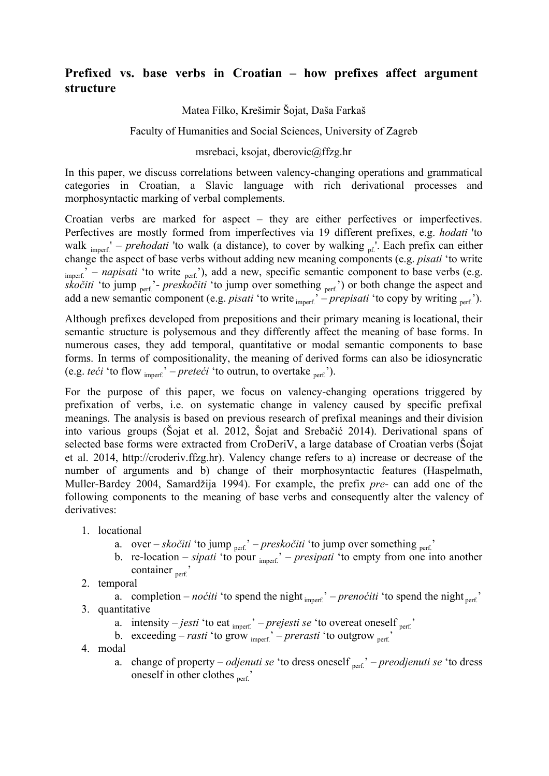## **Prefixed vs. base verbs in Croatian – how prefixes affect argument structure**

## Matea Filko, Krešimir Šojat, Daša Farkaš

## Faculty of Humanities and Social Sciences, University of Zagreb

## msrebaci, ksojat, dberovic@ffzg.hr

In this paper, we discuss correlations between valency-changing operations and grammatical categories in Croatian, a Slavic language with rich derivational processes and morphosyntactic marking of verbal complements.

Croatian verbs are marked for aspect – they are either perfectives or imperfectives. Perfectives are mostly formed from imperfectives via 19 different prefixes, e.g. *hodati* 'to walk  $_{\text{imperf.}}'$  – *prehodati* 'to walk (a distance), to cover by walking  $_{\text{pf.}}'$ . Each prefix can either change the aspect of base verbs without adding new meaning components (e.g. *pisati* 'to write  $\mu_{\text{inner}}$ ' – *napisati* 'to write <sub>perf.</sub>'), add a new, specific semantic component to base verbs (e.g. *skočiti* 'to jump <sub>perf.</sub>'- *preskočiti* 'to jump over something <sub>perf.</sub>') or both change the aspect and add a new semantic component (e.g. *pisati* 'to write <sub>imperf.</sub>' – *prepisati* 'to copy by writing <sub>perf.</sub>').

Although prefixes developed from prepositions and their primary meaning is locational, their semantic structure is polysemous and they differently affect the meaning of base forms. In numerous cases, they add temporal, quantitative or modal semantic components to base forms. In terms of compositionality, the meaning of derived forms can also be idiosyncratic (e.g. *teći* 'to flow  $_{\text{inner}}'$ ' – *preteći* 'to outrun, to overtake  $_{\text{perf}}'$ ).

For the purpose of this paper, we focus on valency-changing operations triggered by prefixation of verbs, i.e. on systematic change in valency caused by specific prefixal meanings. The analysis is based on previous research of prefixal meanings and their division into various groups (Šojat et al. 2012, Šojat and Srebačić 2014). Derivational spans of selected base forms were extracted from CroDeriV, a large database of Croatian verbs (Šojat et al. 2014, http://croderiv.ffzg.hr). Valency change refers to a) increase or decrease of the number of arguments and b) change of their morphosyntactic features (Haspelmath, Muller-Bardey 2004, Samardžija 1994). For example, the prefix *pre*- can add one of the following components to the meaning of base verbs and consequently alter the valency of derivatives:

- 1. locational
	- a. over *skočiti* 'to jump <sub>perf.</sub>' *preskočiti* 'to jump over something <sub>perf.</sub>'
	- b. re-location *sipati* 'to pour <sub>imperf.</sub>' *presipati* 'to empty from one into another container  $_{\text{ner}^{\prime}}$
- 2. temporal

a. completion – *noćiti* 'to spend the night  $_{\text{imperf.}}$ ' – *prenoćiti* 'to spend the night  $_{\text{perf.}}$ ' 3. quantitative

- a. intensity  $-jesti$  'to eat  $_{\text{imperf.}}$ ' *prejesti se* 'to overeat oneself  $_{\text{perf.}}$ '
- b. exceeding *rasti* 'to grow <sub>imperf.</sub>' *prerasti* 'to outgrow <sub>perf.</sub>'
- 4. modal
	- a. change of property *odjenuti se* 'to dress oneself <sub>perf.</sub>' *preodjenuti se* 'to dress oneself in other clothes  $_{\text{perf.}}$